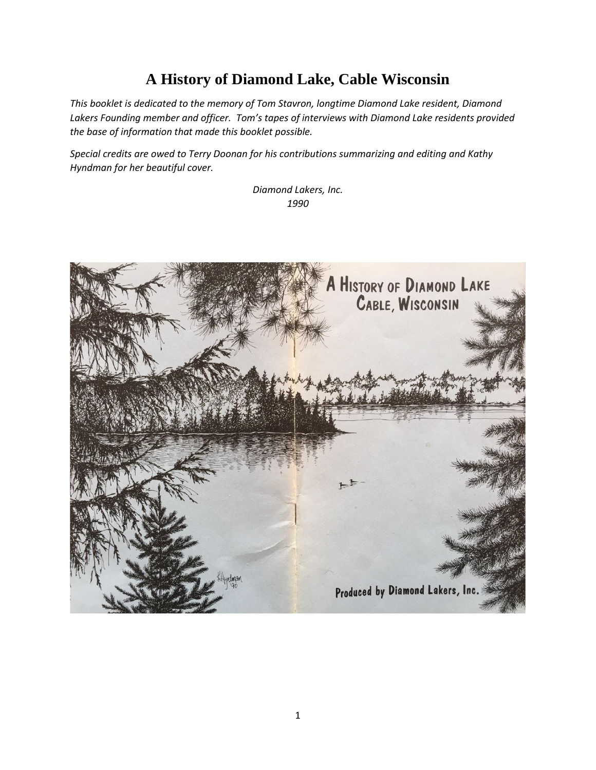## **A History of Diamond Lake, Cable Wisconsin**

*This booklet is dedicated to the memory of Tom Stavron, longtime Diamond Lake resident, Diamond Lakers Founding member and officer. Tom's tapes of interviews with Diamond Lake residents provided the base of information that made this booklet possible.*

*Special credits are owed to Terry Doonan for his contributions summarizing and editing and Kathy Hyndman for her beautiful cover.*

> *Diamond Lakers, Inc. 1990*

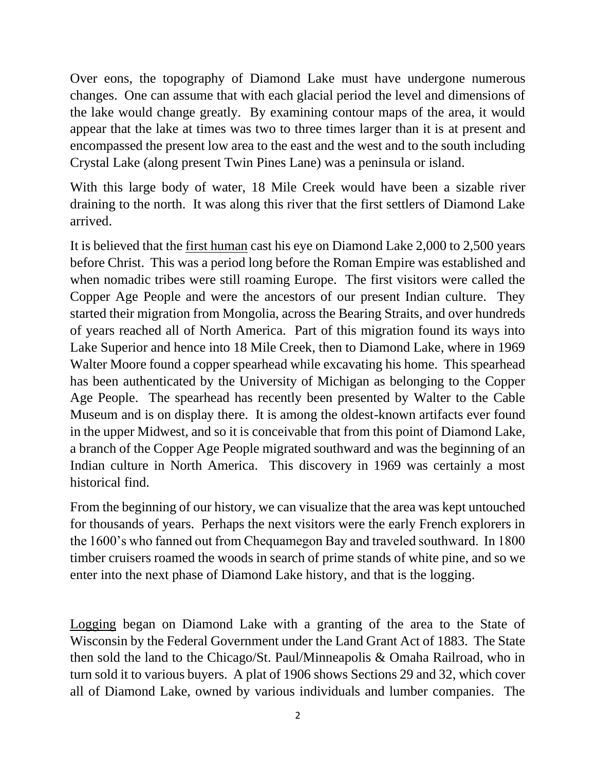Over eons, the topography of Diamond Lake must have undergone numerous changes. One can assume that with each glacial period the level and dimensions of the lake would change greatly. By examining contour maps of the area, it would appear that the lake at times was two to three times larger than it is at present and encompassed the present low area to the east and the west and to the south including Crystal Lake (along present Twin Pines Lane) was a peninsula or island.

With this large body of water, 18 Mile Creek would have been a sizable river draining to the north. It was along this river that the first settlers of Diamond Lake arrived.

It is believed that the first human cast his eye on Diamond Lake 2,000 to 2,500 years before Christ. This was a period long before the Roman Empire was established and when nomadic tribes were still roaming Europe. The first visitors were called the Copper Age People and were the ancestors of our present Indian culture. They started their migration from Mongolia, across the Bearing Straits, and over hundreds of years reached all of North America. Part of this migration found its ways into Lake Superior and hence into 18 Mile Creek, then to Diamond Lake, where in 1969 Walter Moore found a copper spearhead while excavating his home. This spearhead has been authenticated by the University of Michigan as belonging to the Copper Age People. The spearhead has recently been presented by Walter to the Cable Museum and is on display there. It is among the oldest-known artifacts ever found in the upper Midwest, and so it is conceivable that from this point of Diamond Lake, a branch of the Copper Age People migrated southward and was the beginning of an Indian culture in North America. This discovery in 1969 was certainly a most historical find.

From the beginning of our history, we can visualize that the area was kept untouched for thousands of years. Perhaps the next visitors were the early French explorers in the 1600's who fanned out from Chequamegon Bay and traveled southward. In 1800 timber cruisers roamed the woods in search of prime stands of white pine, and so we enter into the next phase of Diamond Lake history, and that is the logging.

Logging began on Diamond Lake with a granting of the area to the State of Wisconsin by the Federal Government under the Land Grant Act of 1883. The State then sold the land to the Chicago/St. Paul/Minneapolis & Omaha Railroad, who in turn sold it to various buyers. A plat of 1906 shows Sections 29 and 32, which cover all of Diamond Lake, owned by various individuals and lumber companies. The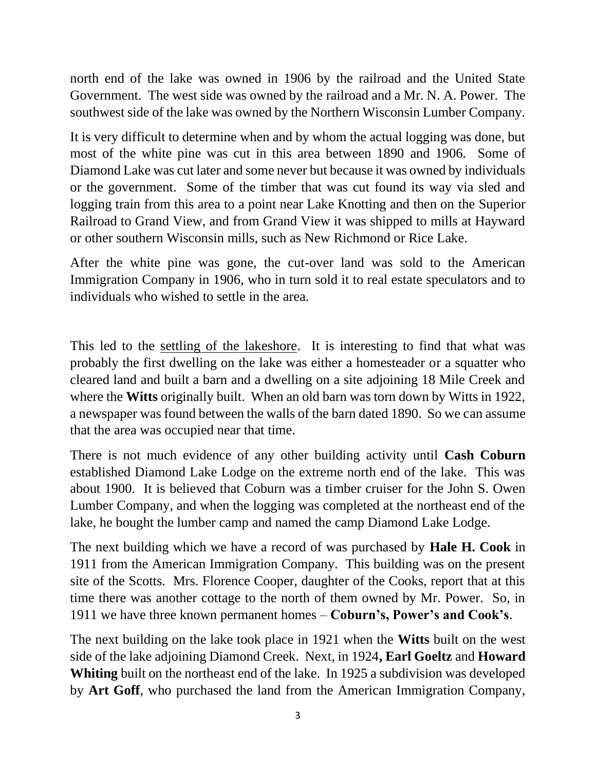north end of the lake was owned in 1906 by the railroad and the United State Government. The west side was owned by the railroad and a Mr. N. A. Power. The southwest side of the lake was owned by the Northern Wisconsin Lumber Company.

It is very difficult to determine when and by whom the actual logging was done, but most of the white pine was cut in this area between 1890 and 1906. Some of Diamond Lake was cut later and some never but because it was owned by individuals or the government. Some of the timber that was cut found its way via sled and logging train from this area to a point near Lake Knotting and then on the Superior Railroad to Grand View, and from Grand View it was shipped to mills at Hayward or other southern Wisconsin mills, such as New Richmond or Rice Lake.

After the white pine was gone, the cut-over land was sold to the American Immigration Company in 1906, who in turn sold it to real estate speculators and to individuals who wished to settle in the area.

This led to the settling of the lakeshore. It is interesting to find that what was probably the first dwelling on the lake was either a homesteader or a squatter who cleared land and built a barn and a dwelling on a site adjoining 18 Mile Creek and where the **Witts** originally built. When an old barn was torn down by Witts in 1922, a newspaper was found between the walls of the barn dated 1890. So we can assume that the area was occupied near that time.

There is not much evidence of any other building activity until **Cash Coburn**  established Diamond Lake Lodge on the extreme north end of the lake. This was about 1900. It is believed that Coburn was a timber cruiser for the John S. Owen Lumber Company, and when the logging was completed at the northeast end of the lake, he bought the lumber camp and named the camp Diamond Lake Lodge.

The next building which we have a record of was purchased by **Hale H. Cook** in 1911 from the American Immigration Company. This building was on the present site of the Scotts. Mrs. Florence Cooper, daughter of the Cooks, report that at this time there was another cottage to the north of them owned by Mr. Power. So, in 1911 we have three known permanent homes – **Coburn's, Power's and Cook's**.

The next building on the lake took place in 1921 when the **Witts** built on the west side of the lake adjoining Diamond Creek. Next, in 1924**, Earl Goeltz** and **Howard Whiting** built on the northeast end of the lake. In 1925 a subdivision was developed by **Art Goff**, who purchased the land from the American Immigration Company,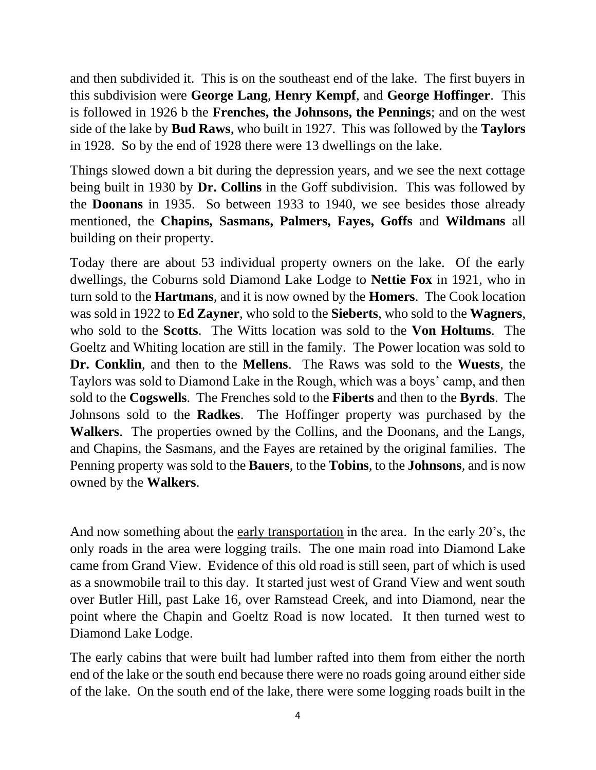and then subdivided it. This is on the southeast end of the lake. The first buyers in this subdivision were **George Lang**, **Henry Kempf**, and **George Hoffinger**. This is followed in 1926 b the **Frenches, the Johnsons, the Pennings**; and on the west side of the lake by **Bud Raws**, who built in 1927. This was followed by the **Taylors** in 1928. So by the end of 1928 there were 13 dwellings on the lake.

Things slowed down a bit during the depression years, and we see the next cottage being built in 1930 by **Dr. Collins** in the Goff subdivision. This was followed by the **Doonans** in 1935. So between 1933 to 1940, we see besides those already mentioned, the **Chapins, Sasmans, Palmers, Fayes, Goffs** and **Wildmans** all building on their property.

Today there are about 53 individual property owners on the lake. Of the early dwellings, the Coburns sold Diamond Lake Lodge to **Nettie Fox** in 1921, who in turn sold to the **Hartmans**, and it is now owned by the **Homers**. The Cook location was sold in 1922 to **Ed Zayner**, who sold to the **Sieberts**, who sold to the **Wagners**, who sold to the **Scotts**. The Witts location was sold to the **Von Holtums**. The Goeltz and Whiting location are still in the family. The Power location was sold to **Dr. Conklin**, and then to the **Mellens**. The Raws was sold to the **Wuests**, the Taylors was sold to Diamond Lake in the Rough, which was a boys' camp, and then sold to the **Cogswells**. The Frenches sold to the **Fiberts** and then to the **Byrds**. The Johnsons sold to the **Radkes**. The Hoffinger property was purchased by the **Walkers**. The properties owned by the Collins, and the Doonans, and the Langs, and Chapins, the Sasmans, and the Fayes are retained by the original families. The Penning property was sold to the **Bauers**, to the **Tobins**, to the **Johnsons**, and is now owned by the **Walkers**.

And now something about the early transportation in the area. In the early 20's, the only roads in the area were logging trails. The one main road into Diamond Lake came from Grand View. Evidence of this old road is still seen, part of which is used as a snowmobile trail to this day. It started just west of Grand View and went south over Butler Hill, past Lake 16, over Ramstead Creek, and into Diamond, near the point where the Chapin and Goeltz Road is now located. It then turned west to Diamond Lake Lodge.

The early cabins that were built had lumber rafted into them from either the north end of the lake or the south end because there were no roads going around either side of the lake. On the south end of the lake, there were some logging roads built in the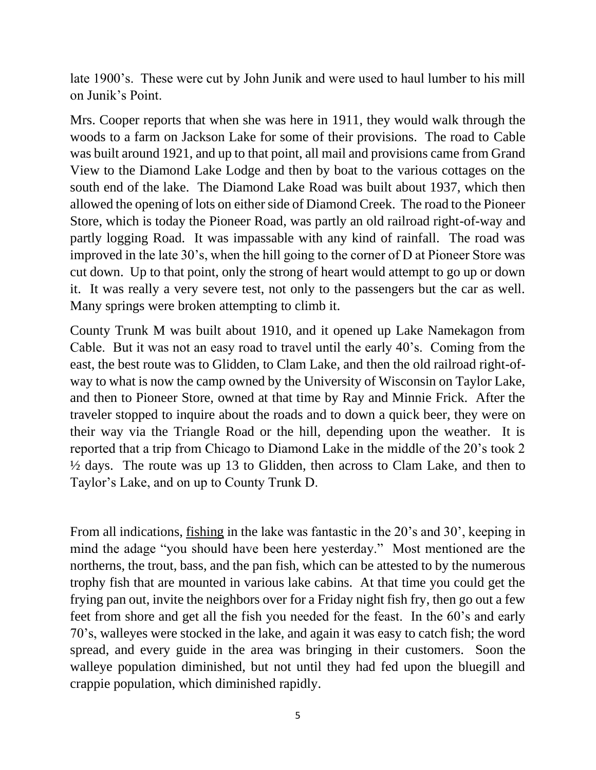late 1900's. These were cut by John Junik and were used to haul lumber to his mill on Junik's Point.

Mrs. Cooper reports that when she was here in 1911, they would walk through the woods to a farm on Jackson Lake for some of their provisions. The road to Cable was built around 1921, and up to that point, all mail and provisions came from Grand View to the Diamond Lake Lodge and then by boat to the various cottages on the south end of the lake. The Diamond Lake Road was built about 1937, which then allowed the opening of lots on either side of Diamond Creek. The road to the Pioneer Store, which is today the Pioneer Road, was partly an old railroad right-of-way and partly logging Road. It was impassable with any kind of rainfall. The road was improved in the late 30's, when the hill going to the corner of D at Pioneer Store was cut down. Up to that point, only the strong of heart would attempt to go up or down it. It was really a very severe test, not only to the passengers but the car as well. Many springs were broken attempting to climb it.

County Trunk M was built about 1910, and it opened up Lake Namekagon from Cable. But it was not an easy road to travel until the early 40's. Coming from the east, the best route was to Glidden, to Clam Lake, and then the old railroad right-ofway to what is now the camp owned by the University of Wisconsin on Taylor Lake, and then to Pioneer Store, owned at that time by Ray and Minnie Frick. After the traveler stopped to inquire about the roads and to down a quick beer, they were on their way via the Triangle Road or the hill, depending upon the weather. It is reported that a trip from Chicago to Diamond Lake in the middle of the 20's took 2 ½ days. The route was up 13 to Glidden, then across to Clam Lake, and then to Taylor's Lake, and on up to County Trunk D.

From all indications, fishing in the lake was fantastic in the 20's and 30', keeping in mind the adage "you should have been here yesterday." Most mentioned are the northerns, the trout, bass, and the pan fish, which can be attested to by the numerous trophy fish that are mounted in various lake cabins. At that time you could get the frying pan out, invite the neighbors over for a Friday night fish fry, then go out a few feet from shore and get all the fish you needed for the feast. In the 60's and early 70's, walleyes were stocked in the lake, and again it was easy to catch fish; the word spread, and every guide in the area was bringing in their customers. Soon the walleye population diminished, but not until they had fed upon the bluegill and crappie population, which diminished rapidly.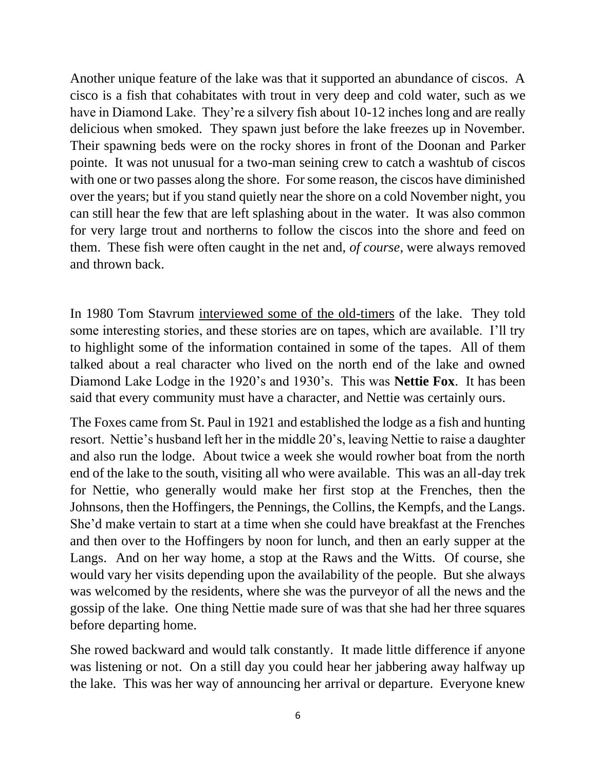Another unique feature of the lake was that it supported an abundance of ciscos. A cisco is a fish that cohabitates with trout in very deep and cold water, such as we have in Diamond Lake. They're a silvery fish about 10-12 inches long and are really delicious when smoked. They spawn just before the lake freezes up in November. Their spawning beds were on the rocky shores in front of the Doonan and Parker pointe. It was not unusual for a two-man seining crew to catch a washtub of ciscos with one or two passes along the shore. For some reason, the ciscos have diminished over the years; but if you stand quietly near the shore on a cold November night, you can still hear the few that are left splashing about in the water. It was also common for very large trout and northerns to follow the ciscos into the shore and feed on them. These fish were often caught in the net and, *of course*, were always removed and thrown back.

In 1980 Tom Stavrum interviewed some of the old-timers of the lake. They told some interesting stories, and these stories are on tapes, which are available. I'll try to highlight some of the information contained in some of the tapes. All of them talked about a real character who lived on the north end of the lake and owned Diamond Lake Lodge in the 1920's and 1930's. This was **Nettie Fox**. It has been said that every community must have a character, and Nettie was certainly ours.

The Foxes came from St. Paul in 1921 and established the lodge as a fish and hunting resort. Nettie's husband left her in the middle 20's, leaving Nettie to raise a daughter and also run the lodge. About twice a week she would rowher boat from the north end of the lake to the south, visiting all who were available. This was an all-day trek for Nettie, who generally would make her first stop at the Frenches, then the Johnsons, then the Hoffingers, the Pennings, the Collins, the Kempfs, and the Langs. She'd make vertain to start at a time when she could have breakfast at the Frenches and then over to the Hoffingers by noon for lunch, and then an early supper at the Langs. And on her way home, a stop at the Raws and the Witts. Of course, she would vary her visits depending upon the availability of the people. But she always was welcomed by the residents, where she was the purveyor of all the news and the gossip of the lake. One thing Nettie made sure of was that she had her three squares before departing home.

She rowed backward and would talk constantly. It made little difference if anyone was listening or not. On a still day you could hear her jabbering away halfway up the lake. This was her way of announcing her arrival or departure. Everyone knew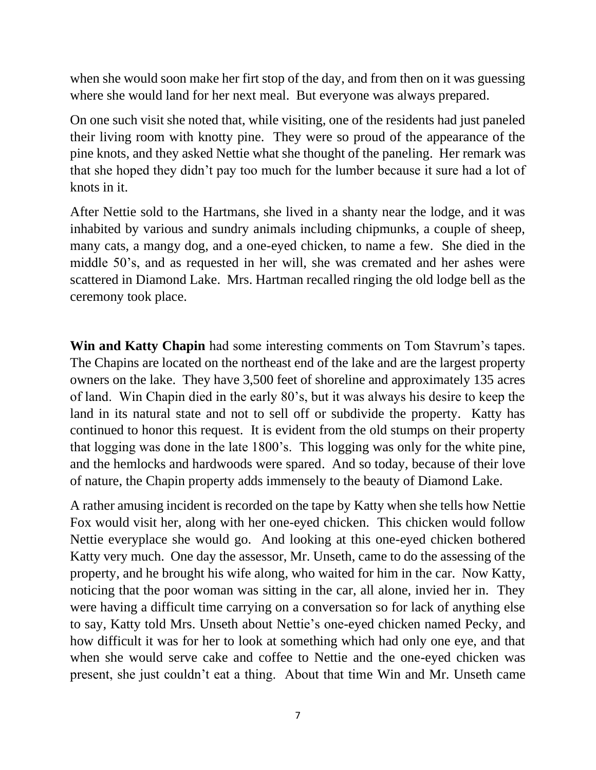when she would soon make her firt stop of the day, and from then on it was guessing where she would land for her next meal. But everyone was always prepared.

On one such visit she noted that, while visiting, one of the residents had just paneled their living room with knotty pine. They were so proud of the appearance of the pine knots, and they asked Nettie what she thought of the paneling. Her remark was that she hoped they didn't pay too much for the lumber because it sure had a lot of knots in it.

After Nettie sold to the Hartmans, she lived in a shanty near the lodge, and it was inhabited by various and sundry animals including chipmunks, a couple of sheep, many cats, a mangy dog, and a one-eyed chicken, to name a few. She died in the middle 50's, and as requested in her will, she was cremated and her ashes were scattered in Diamond Lake. Mrs. Hartman recalled ringing the old lodge bell as the ceremony took place.

**Win and Katty Chapin** had some interesting comments on Tom Stavrum's tapes. The Chapins are located on the northeast end of the lake and are the largest property owners on the lake. They have 3,500 feet of shoreline and approximately 135 acres of land. Win Chapin died in the early 80's, but it was always his desire to keep the land in its natural state and not to sell off or subdivide the property. Katty has continued to honor this request. It is evident from the old stumps on their property that logging was done in the late 1800's. This logging was only for the white pine, and the hemlocks and hardwoods were spared. And so today, because of their love of nature, the Chapin property adds immensely to the beauty of Diamond Lake.

A rather amusing incident is recorded on the tape by Katty when she tells how Nettie Fox would visit her, along with her one-eyed chicken. This chicken would follow Nettie everyplace she would go. And looking at this one-eyed chicken bothered Katty very much. One day the assessor, Mr. Unseth, came to do the assessing of the property, and he brought his wife along, who waited for him in the car. Now Katty, noticing that the poor woman was sitting in the car, all alone, invied her in. They were having a difficult time carrying on a conversation so for lack of anything else to say, Katty told Mrs. Unseth about Nettie's one-eyed chicken named Pecky, and how difficult it was for her to look at something which had only one eye, and that when she would serve cake and coffee to Nettie and the one-eyed chicken was present, she just couldn't eat a thing. About that time Win and Mr. Unseth came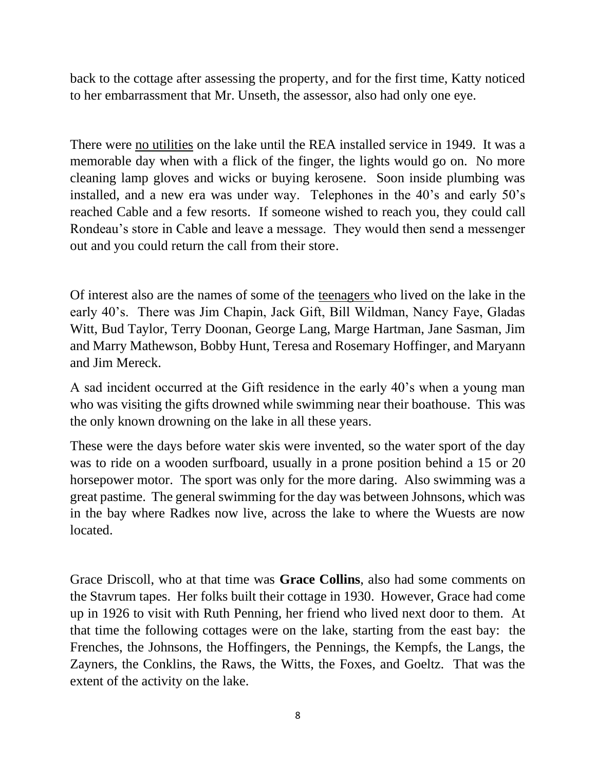back to the cottage after assessing the property, and for the first time, Katty noticed to her embarrassment that Mr. Unseth, the assessor, also had only one eye.

There were no utilities on the lake until the REA installed service in 1949. It was a memorable day when with a flick of the finger, the lights would go on. No more cleaning lamp gloves and wicks or buying kerosene. Soon inside plumbing was installed, and a new era was under way. Telephones in the 40's and early 50's reached Cable and a few resorts. If someone wished to reach you, they could call Rondeau's store in Cable and leave a message. They would then send a messenger out and you could return the call from their store.

Of interest also are the names of some of the teenagers who lived on the lake in the early 40's. There was Jim Chapin, Jack Gift, Bill Wildman, Nancy Faye, Gladas Witt, Bud Taylor, Terry Doonan, George Lang, Marge Hartman, Jane Sasman, Jim and Marry Mathewson, Bobby Hunt, Teresa and Rosemary Hoffinger, and Maryann and Jim Mereck.

A sad incident occurred at the Gift residence in the early 40's when a young man who was visiting the gifts drowned while swimming near their boathouse. This was the only known drowning on the lake in all these years.

These were the days before water skis were invented, so the water sport of the day was to ride on a wooden surfboard, usually in a prone position behind a 15 or 20 horsepower motor. The sport was only for the more daring. Also swimming was a great pastime. The general swimming for the day was between Johnsons, which was in the bay where Radkes now live, across the lake to where the Wuests are now located.

Grace Driscoll, who at that time was **Grace Collins**, also had some comments on the Stavrum tapes. Her folks built their cottage in 1930. However, Grace had come up in 1926 to visit with Ruth Penning, her friend who lived next door to them. At that time the following cottages were on the lake, starting from the east bay: the Frenches, the Johnsons, the Hoffingers, the Pennings, the Kempfs, the Langs, the Zayners, the Conklins, the Raws, the Witts, the Foxes, and Goeltz. That was the extent of the activity on the lake.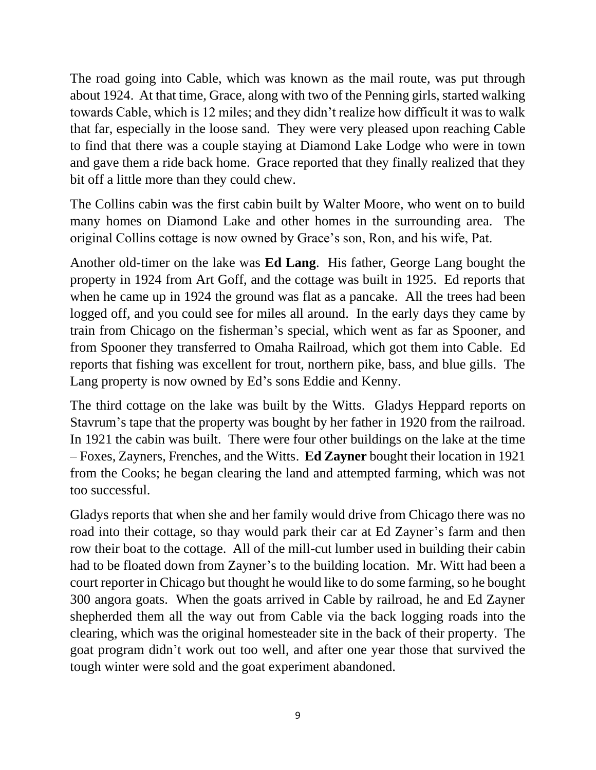The road going into Cable, which was known as the mail route, was put through about 1924. At that time, Grace, along with two of the Penning girls, started walking towards Cable, which is 12 miles; and they didn't realize how difficult it was to walk that far, especially in the loose sand. They were very pleased upon reaching Cable to find that there was a couple staying at Diamond Lake Lodge who were in town and gave them a ride back home. Grace reported that they finally realized that they bit off a little more than they could chew.

The Collins cabin was the first cabin built by Walter Moore, who went on to build many homes on Diamond Lake and other homes in the surrounding area. The original Collins cottage is now owned by Grace's son, Ron, and his wife, Pat.

Another old-timer on the lake was **Ed Lang**. His father, George Lang bought the property in 1924 from Art Goff, and the cottage was built in 1925. Ed reports that when he came up in 1924 the ground was flat as a pancake. All the trees had been logged off, and you could see for miles all around. In the early days they came by train from Chicago on the fisherman's special, which went as far as Spooner, and from Spooner they transferred to Omaha Railroad, which got them into Cable. Ed reports that fishing was excellent for trout, northern pike, bass, and blue gills. The Lang property is now owned by Ed's sons Eddie and Kenny.

The third cottage on the lake was built by the Witts. Gladys Heppard reports on Stavrum's tape that the property was bought by her father in 1920 from the railroad. In 1921 the cabin was built. There were four other buildings on the lake at the time – Foxes, Zayners, Frenches, and the Witts. **Ed Zayner** bought their location in 1921 from the Cooks; he began clearing the land and attempted farming, which was not too successful.

Gladys reports that when she and her family would drive from Chicago there was no road into their cottage, so thay would park their car at Ed Zayner's farm and then row their boat to the cottage. All of the mill-cut lumber used in building their cabin had to be floated down from Zayner's to the building location. Mr. Witt had been a court reporter in Chicago but thought he would like to do some farming, so he bought 300 angora goats. When the goats arrived in Cable by railroad, he and Ed Zayner shepherded them all the way out from Cable via the back logging roads into the clearing, which was the original homesteader site in the back of their property. The goat program didn't work out too well, and after one year those that survived the tough winter were sold and the goat experiment abandoned.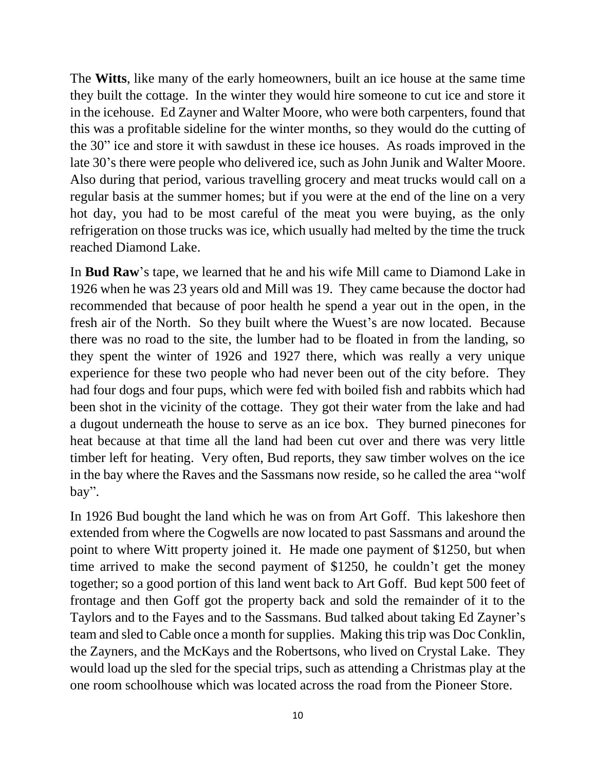The **Witts**, like many of the early homeowners, built an ice house at the same time they built the cottage. In the winter they would hire someone to cut ice and store it in the icehouse. Ed Zayner and Walter Moore, who were both carpenters, found that this was a profitable sideline for the winter months, so they would do the cutting of the 30" ice and store it with sawdust in these ice houses. As roads improved in the late 30's there were people who delivered ice, such as John Junik and Walter Moore. Also during that period, various travelling grocery and meat trucks would call on a regular basis at the summer homes; but if you were at the end of the line on a very hot day, you had to be most careful of the meat you were buying, as the only refrigeration on those trucks was ice, which usually had melted by the time the truck reached Diamond Lake.

In **Bud Raw**'s tape, we learned that he and his wife Mill came to Diamond Lake in 1926 when he was 23 years old and Mill was 19. They came because the doctor had recommended that because of poor health he spend a year out in the open, in the fresh air of the North. So they built where the Wuest's are now located. Because there was no road to the site, the lumber had to be floated in from the landing, so they spent the winter of 1926 and 1927 there, which was really a very unique experience for these two people who had never been out of the city before. They had four dogs and four pups, which were fed with boiled fish and rabbits which had been shot in the vicinity of the cottage. They got their water from the lake and had a dugout underneath the house to serve as an ice box. They burned pinecones for heat because at that time all the land had been cut over and there was very little timber left for heating. Very often, Bud reports, they saw timber wolves on the ice in the bay where the Raves and the Sassmans now reside, so he called the area "wolf bay".

In 1926 Bud bought the land which he was on from Art Goff. This lakeshore then extended from where the Cogwells are now located to past Sassmans and around the point to where Witt property joined it. He made one payment of \$1250, but when time arrived to make the second payment of \$1250, he couldn't get the money together; so a good portion of this land went back to Art Goff. Bud kept 500 feet of frontage and then Goff got the property back and sold the remainder of it to the Taylors and to the Fayes and to the Sassmans. Bud talked about taking Ed Zayner's team and sled to Cable once a month for supplies. Making this trip was Doc Conklin, the Zayners, and the McKays and the Robertsons, who lived on Crystal Lake. They would load up the sled for the special trips, such as attending a Christmas play at the one room schoolhouse which was located across the road from the Pioneer Store.